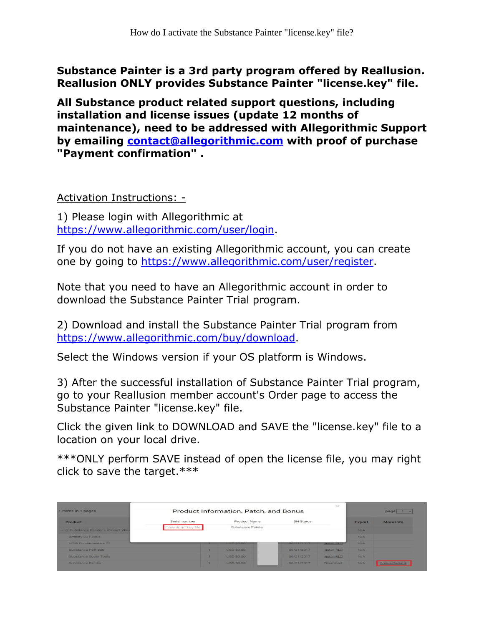Substance Painter is a 3rd party program offered by Reallusion. Reallusion ONLY provides Substance Painter "license.key" file.

All Substance product related support questions, including installation and license issues (update 12 months of maintenance), need to be addressed with Allegorithmic Support by emailing [contact@allegorithmic.com](mailto:contact@allegorithmic.com) with proof of purchase "Payment confirmation" .

Activation Instructions: -

1) Please login with Allegorithmic at <https://www.allegorithmic.com/user/login>.

If you do not have an existing Allegorithmic account, you can create one by going to [https://www.allegorithmic.com/user/register.](https://www.allegorithmic.com/user/register)

Note that you need to have an Allegorithmic account in order to download the Substance Painter Trial program.

2) Download and install the Substance Painter Trial program from [https://www.allegorithmic.com/buy/download.](https://www.allegorithmic.com/buy/download)

Select the Windows version if your OS platform is Windows.

3) After the successful installation of Substance Painter Trial program, go to your Reallusion member account's Order page to access the Substance Painter "license.key" file.

Click the given link to DOWNLOAD and SAVE the "license.key" file to a location on your local drive.

\*\*\*ONLY perform SAVE instead of open the license file, you may right click to save the target.\*\*\*

| 1 items in 1 pages                     | $>\,$<br>Product Information, Patch, and Bonus |                   |            |                    | page   |                |  |
|----------------------------------------|------------------------------------------------|-------------------|------------|--------------------|--------|----------------|--|
| Product                                | Serial number                                  | Product Name      | SN Status  |                    | Export | More Info      |  |
| - C: Substance Painter + iClone7 Visua | Download key file                              | Substance Painter |            |                    | N/A    |                |  |
| Amplify LUT 200+                       |                                                |                   |            |                    | N/A    |                |  |
| HDRI Fundamentals 25                   |                                                | <b>USD \$0.00</b> | 06/21/2017 | <b>Install RLD</b> | N/A    |                |  |
| Substance PBR 200                      |                                                | <b>USD S0.00</b>  | 06/21/2017 | Install.RLD        | N/A    |                |  |
| Substance Super Tools                  |                                                | <b>USD \$0.00</b> | 06/21/2017 | Install.RLD        | N/A    |                |  |
| Substance Painter                      |                                                | <b>USD \$0.00</b> | 06/21/2017 | Download           | N/A    | Bonus/Serial # |  |